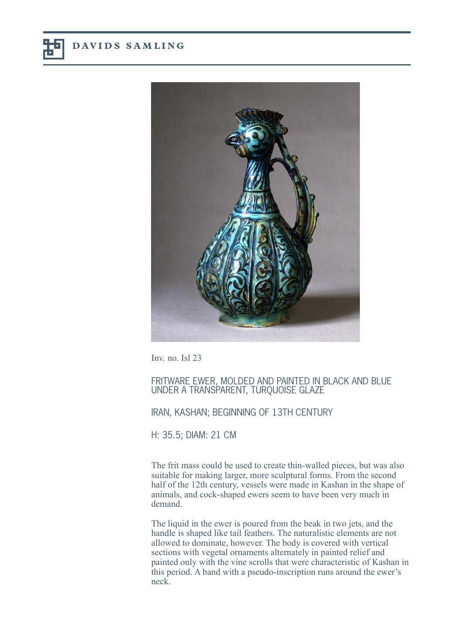

Inv. no. Isl 23

FRITWARE EWER, MOLDED AND PAINTED IN BLACK AND BLUE UNDER A TRANSPARENT, TURQUOISE GLAZE

## IRAN, KASHAN; BEGINNING OF 13TH CENTURY

H: 35.5; DIAM: 21 CM

The frit mass could be used to create thin-walled pieces, but was also suitable for making larger, more sculptural forms. From the second half of the 12th century, vessels were made in Kashan in the shape of animals, and cock-shaped ewers seem to have been very much in demand.

The liquid in the ewer is poured from the beak in two jets, and the handle is shaped like tail feathers. The naturalistic elements are not allowed to dominate, however. The body is covered with vertical sections with vegetal ornaments alternately in painted relief and painted only with the vine scrolls that were characteristic of Kashan in this period. A band with a pseudo-inscription runs around the ewer's neck.